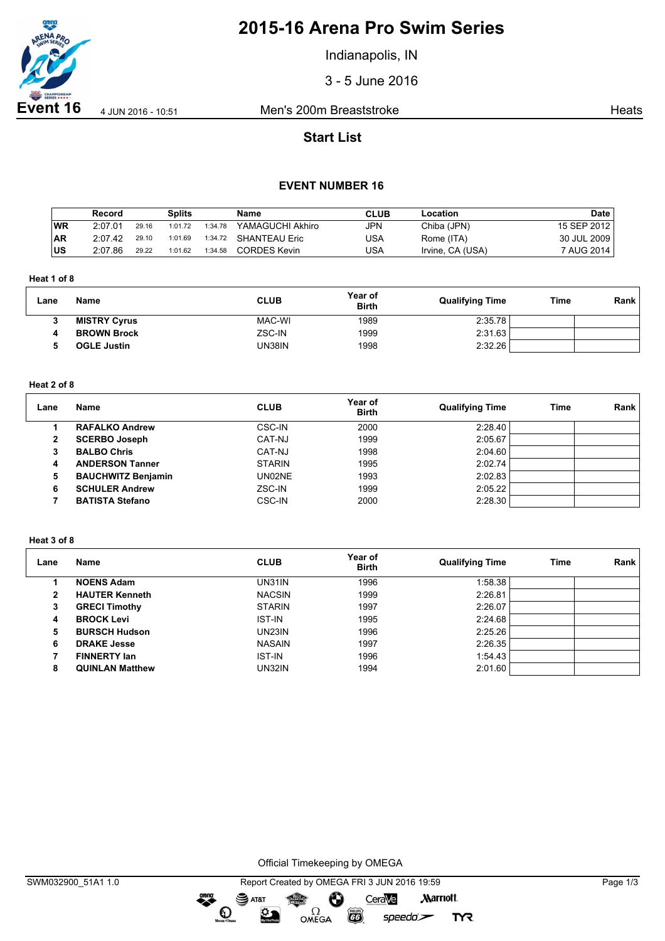

# **2015-16 Arena Pro Swim Series**

Indianapolis, IN

3 - 5 June 2016

**Event 16** 4 Jun 2016 - 10:51 Men's 200m Breaststroke **Heats** Heats

# **Start List**

## **EVENT NUMBER 16**

|           | Record  |       | Splits  |         | Name                  | <b>CLUB</b> | Location         | <b>Date</b>       |
|-----------|---------|-------|---------|---------|-----------------------|-------------|------------------|-------------------|
| WR        | 2:07.01 | 29.16 | 1:01.72 | 1:34.78 | YAMAGUCHI Akhiro      | JPN         | Chiba (JPN)      | 15 SEP 2012 $\pm$ |
| <b>AR</b> | 2:07.42 | 29.10 | 1:01.69 |         | 1:34.72 SHANTEAU Eric | USA         | Rome (ITA)       | 30 JUL 2009       |
| <b>US</b> | 2:07.86 | 29.22 | 1:01.62 | 1:34.58 | <b>CORDES Kevin</b>   | USA         | Irvine, CA (USA) | 7 AUG 2014        |

### **Heat 1 of 8**

| Lane   | <b>Name</b>         | <b>CLUB</b> | Year of<br><b>Birth</b> | <b>Qualifying Time</b> | Time | Rank |
|--------|---------------------|-------------|-------------------------|------------------------|------|------|
| ≘<br>c | <b>MISTRY Cyrus</b> | MAC-WI      | 1989                    | 2:35.78                |      |      |
|        | <b>BROWN Brock</b>  | ZSC-IN      | 1999                    | 2:31.63                |      |      |
|        | <b>OGLE Justin</b>  | UN38IN      | 1998                    | 2:32.26                |      |      |

### **Heat 2 of 8**

| Lane         | Name                      | <b>CLUB</b>   | Year of<br><b>Birth</b> | <b>Qualifying Time</b> | Time | Rank |
|--------------|---------------------------|---------------|-------------------------|------------------------|------|------|
|              | <b>RAFALKO Andrew</b>     | CSC-IN        | 2000                    | 2:28.40                |      |      |
| $\mathbf{2}$ | <b>SCERBO Joseph</b>      | CAT-NJ        | 1999                    | 2:05.67                |      |      |
|              | <b>BALBO Chris</b>        | CAT-NJ        | 1998                    | 2:04.60                |      |      |
| 4            | <b>ANDERSON Tanner</b>    | <b>STARIN</b> | 1995                    | 2:02.74                |      |      |
| 5            | <b>BAUCHWITZ Benjamin</b> | UN02NE        | 1993                    | 2:02.83                |      |      |
| 6            | <b>SCHULER Andrew</b>     | ZSC-IN        | 1999                    | 2:05.22                |      |      |
|              | <b>BATISTA Stefano</b>    | <b>CSC-IN</b> | 2000                    | 2:28.30                |      |      |

### **Heat 3 of 8**

| Lane | Name                   | <b>CLUB</b>   | Year of<br><b>Birth</b> | <b>Qualifying Time</b> | Time | Rank |
|------|------------------------|---------------|-------------------------|------------------------|------|------|
|      | <b>NOENS Adam</b>      | UN31IN        | 1996                    | 1:58.38                |      |      |
| 2    | <b>HAUTER Kenneth</b>  | <b>NACSIN</b> | 1999                    | 2:26.81                |      |      |
| 3    | <b>GRECI Timothy</b>   | <b>STARIN</b> | 1997                    | 2:26.07                |      |      |
| 4    | <b>BROCK Levi</b>      | <b>IST-IN</b> | 1995                    | 2:24.68                |      |      |
| 5    | <b>BURSCH Hudson</b>   | UN23IN        | 1996                    | 2:25.26                |      |      |
| 6    | <b>DRAKE Jesse</b>     | <b>NASAIN</b> | 1997                    | 2:26.35                |      |      |
|      | <b>FINNERTY lan</b>    | <b>IST-IN</b> | 1996                    | 1:54.43                |      |      |
| 8    | <b>QUINLAN Matthew</b> | UN32IN        | 1994                    | 2:01.60                |      |      |

Official Timekeeping by OMEGA

 $\bullet$ 

**TYR**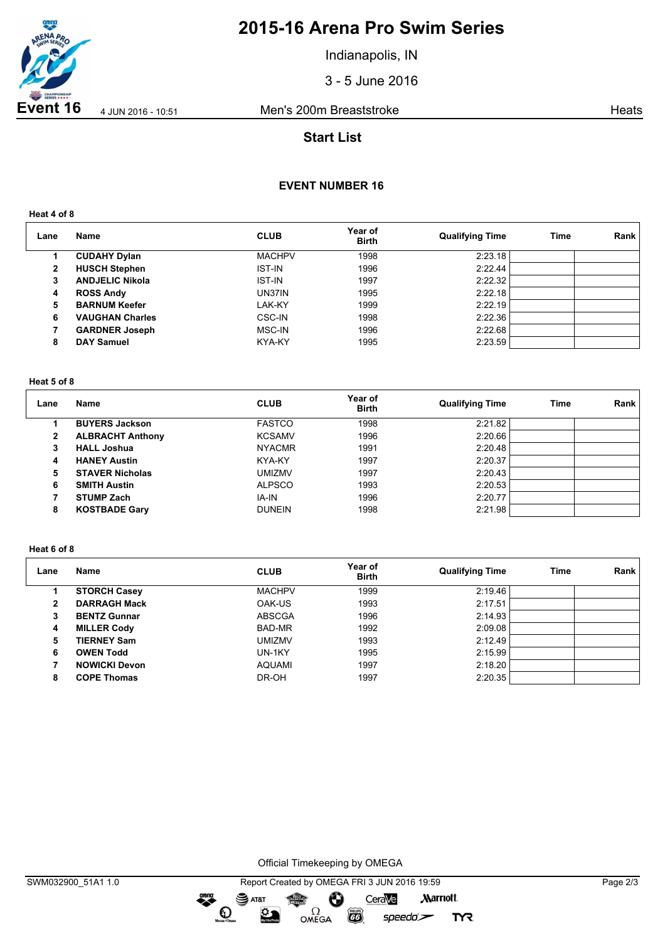

# **2015-16 Arena Pro Swim Series**

Indianapolis, IN

3 - 5 June 2016

Event 16 4 Jun 2016 - 10:51 Men's 200m Breaststroke **Heats** Heats

# **Start List**

## **EVENT NUMBER 16**

**Heat 4 of 8**

| Lane | <b>Name</b>            | <b>CLUB</b>   | Year of<br><b>Birth</b> | <b>Qualifying Time</b> | <b>Time</b> | Rank |
|------|------------------------|---------------|-------------------------|------------------------|-------------|------|
|      | <b>CUDAHY Dylan</b>    | <b>MACHPV</b> | 1998                    | 2:23.18                |             |      |
| 2    | <b>HUSCH Stephen</b>   | <b>IST-IN</b> | 1996                    | 2:22.44                |             |      |
| 3    | <b>ANDJELIC Nikola</b> | <b>IST-IN</b> | 1997                    | 2:22.32                |             |      |
| 4    | <b>ROSS Andy</b>       | UN37IN        | 1995                    | 2:22.18                |             |      |
| 5    | <b>BARNUM Keefer</b>   | LAK-KY        | 1999                    | 2:22.19                |             |      |
| 6    | <b>VAUGHAN Charles</b> | CSC-IN        | 1998                    | 2:22.36                |             |      |
|      | <b>GARDNER Joseph</b>  | MSC-IN        | 1996                    | 2:22.68                |             |      |
| 8    | <b>DAY Samuel</b>      | KYA-KY        | 1995                    | 2:23.59                |             |      |

#### **Heat 5 of 8**

| Lane         | <b>Name</b>             | <b>CLUB</b>   | Year of<br><b>Birth</b> | <b>Qualifying Time</b> | Time | Rank |
|--------------|-------------------------|---------------|-------------------------|------------------------|------|------|
|              | <b>BUYERS Jackson</b>   | <b>FASTCO</b> | 1998                    | 2:21.82                |      |      |
| $\mathbf{2}$ | <b>ALBRACHT Anthony</b> | <b>KCSAMV</b> | 1996                    | 2:20.66                |      |      |
| 3            | <b>HALL Joshua</b>      | <b>NYACMR</b> | 1991                    | 2:20.48                |      |      |
| 4            | <b>HANEY Austin</b>     | KYA-KY        | 1997                    | 2:20.37                |      |      |
| 5            | <b>STAVER Nicholas</b>  | umizmv        | 1997                    | 2:20.43                |      |      |
| 6            | <b>SMITH Austin</b>     | <b>ALPSCO</b> | 1993                    | 2:20.53                |      |      |
|              | <b>STUMP Zach</b>       | IA-IN         | 1996                    | 2:20.77                |      |      |
| 8            | <b>KOSTBADE Gary</b>    | <b>DUNEIN</b> | 1998                    | 2:21.98                |      |      |

### **Heat 6 of 8**

| Lane | Name                 | <b>CLUB</b>   | Year of<br><b>Birth</b> | <b>Qualifying Time</b> | Time | Rank |
|------|----------------------|---------------|-------------------------|------------------------|------|------|
|      | <b>STORCH Casey</b>  | <b>MACHPV</b> | 1999                    | 2:19.46                |      |      |
| 2    | <b>DARRAGH Mack</b>  | OAK-US        | 1993                    | 2:17.51                |      |      |
| 3    | <b>BENTZ Gunnar</b>  | <b>ABSCGA</b> | 1996                    | 2:14.93                |      |      |
| 4    | <b>MILLER Cody</b>   | BAD-MR        | 1992                    | 2:09.08                |      |      |
| 5    | <b>TIERNEY Sam</b>   | <b>UMIZMV</b> | 1993                    | 2:12.49                |      |      |
| 6    | <b>OWEN Todd</b>     | UN-1KY        | 1995                    | 2:15.99                |      |      |
|      | <b>NOWICKI Devon</b> | <b>AQUAMI</b> | 1997                    | 2:18.20                |      |      |
| 8    | <b>COPE Thomas</b>   | DR-OH         | 1997                    | 2:20.35                |      |      |

Official Timekeeping by OMEGA

OMEGA

dreng:

 $\mathbf O$ 

签

SWM032900\_51A1 1.0 Report Created by OMEGA FRI 3 JUN 2016 19:59 Page 2/3 SAT&T CeraVe **Marriott** Ô

 $\overline{G}$ 

 $speedo$ 

**TYR**